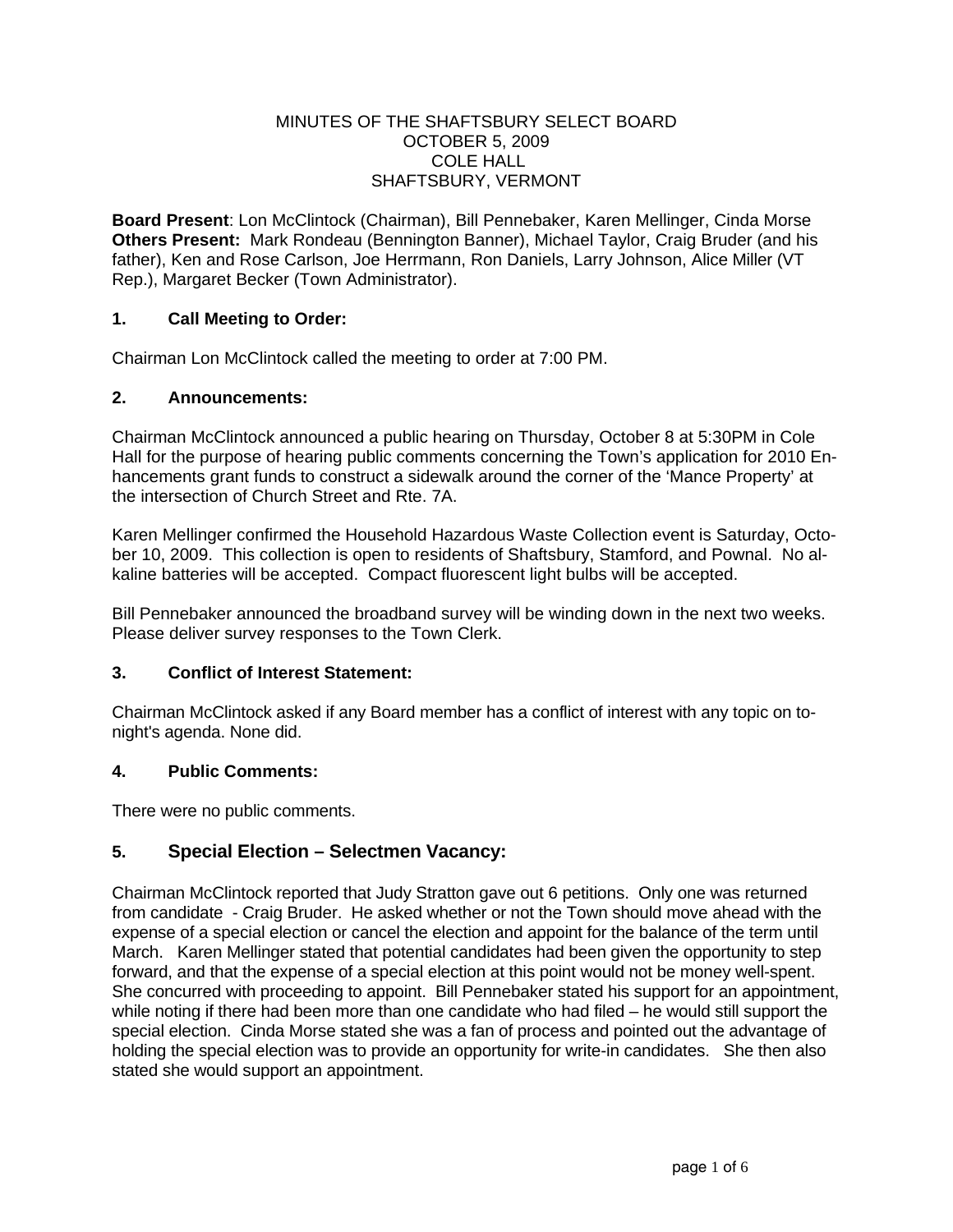## MINUTES OF THE SHAFTSBURY SELECT BOARD OCTOBER 5, 2009 COLE HALL SHAFTSBURY, VERMONT

**Board Present**: Lon McClintock (Chairman), Bill Pennebaker, Karen Mellinger, Cinda Morse **Others Present:** Mark Rondeau (Bennington Banner), Michael Taylor, Craig Bruder (and his father), Ken and Rose Carlson, Joe Herrmann, Ron Daniels, Larry Johnson, Alice Miller (VT Rep.), Margaret Becker (Town Administrator).

# **1. Call Meeting to Order:**

Chairman Lon McClintock called the meeting to order at 7:00 PM.

## **2. Announcements:**

Chairman McClintock announced a public hearing on Thursday, October 8 at 5:30PM in Cole Hall for the purpose of hearing public comments concerning the Town's application for 2010 Enhancements grant funds to construct a sidewalk around the corner of the 'Mance Property' at the intersection of Church Street and Rte. 7A.

Karen Mellinger confirmed the Household Hazardous Waste Collection event is Saturday, October 10, 2009. This collection is open to residents of Shaftsbury, Stamford, and Pownal. No alkaline batteries will be accepted. Compact fluorescent light bulbs will be accepted.

Bill Pennebaker announced the broadband survey will be winding down in the next two weeks. Please deliver survey responses to the Town Clerk.

## **3. Conflict of Interest Statement:**

Chairman McClintock asked if any Board member has a conflict of interest with any topic on tonight's agenda. None did.

## **4. Public Comments:**

There were no public comments.

# **5. Special Election – Selectmen Vacancy:**

Chairman McClintock reported that Judy Stratton gave out 6 petitions. Only one was returned from candidate - Craig Bruder. He asked whether or not the Town should move ahead with the expense of a special election or cancel the election and appoint for the balance of the term until March. Karen Mellinger stated that potential candidates had been given the opportunity to step forward, and that the expense of a special election at this point would not be money well-spent. She concurred with proceeding to appoint. Bill Pennebaker stated his support for an appointment, while noting if there had been more than one candidate who had filed – he would still support the special election. Cinda Morse stated she was a fan of process and pointed out the advantage of holding the special election was to provide an opportunity for write-in candidates. She then also stated she would support an appointment.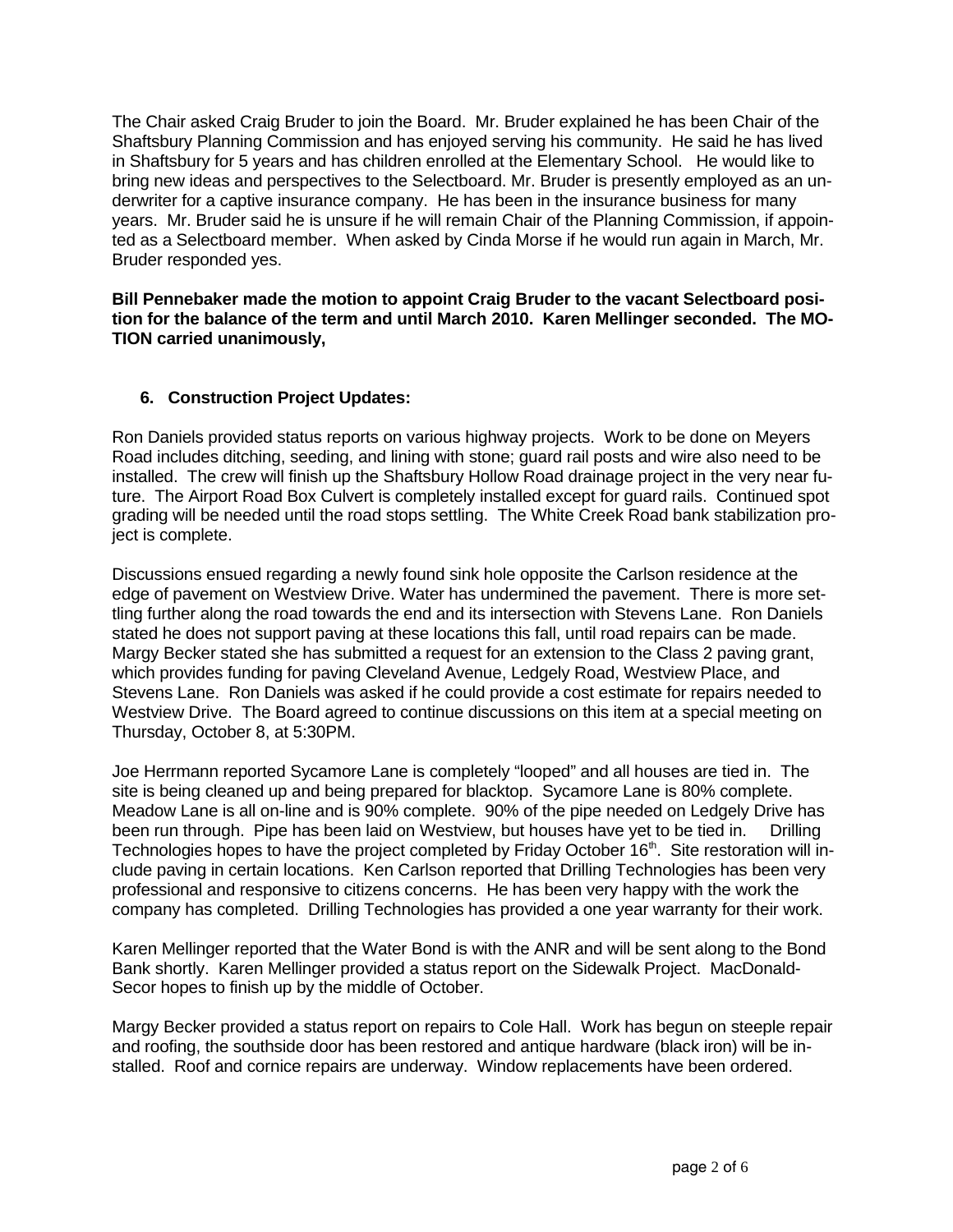The Chair asked Craig Bruder to join the Board. Mr. Bruder explained he has been Chair of the Shaftsbury Planning Commission and has enjoyed serving his community. He said he has lived in Shaftsbury for 5 years and has children enrolled at the Elementary School. He would like to bring new ideas and perspectives to the Selectboard. Mr. Bruder is presently employed as an underwriter for a captive insurance company. He has been in the insurance business for many years. Mr. Bruder said he is unsure if he will remain Chair of the Planning Commission, if appointed as a Selectboard member. When asked by Cinda Morse if he would run again in March, Mr. Bruder responded yes.

**Bill Pennebaker made the motion to appoint Craig Bruder to the vacant Selectboard position for the balance of the term and until March 2010. Karen Mellinger seconded. The MO-TION carried unanimously,**

## **6. Construction Project Updates:**

Ron Daniels provided status reports on various highway projects. Work to be done on Meyers Road includes ditching, seeding, and lining with stone; guard rail posts and wire also need to be installed. The crew will finish up the Shaftsbury Hollow Road drainage project in the very near future. The Airport Road Box Culvert is completely installed except for guard rails. Continued spot grading will be needed until the road stops settling. The White Creek Road bank stabilization project is complete.

Discussions ensued regarding a newly found sink hole opposite the Carlson residence at the edge of pavement on Westview Drive. Water has undermined the pavement. There is more settling further along the road towards the end and its intersection with Stevens Lane. Ron Daniels stated he does not support paving at these locations this fall, until road repairs can be made. Margy Becker stated she has submitted a request for an extension to the Class 2 paving grant, which provides funding for paving Cleveland Avenue, Ledgely Road, Westview Place, and Stevens Lane. Ron Daniels was asked if he could provide a cost estimate for repairs needed to Westview Drive. The Board agreed to continue discussions on this item at a special meeting on Thursday, October 8, at 5:30PM.

Joe Herrmann reported Sycamore Lane is completely "looped" and all houses are tied in. The site is being cleaned up and being prepared for blacktop. Sycamore Lane is 80% complete. Meadow Lane is all on-line and is 90% complete. 90% of the pipe needed on Ledgely Drive has been run through. Pipe has been laid on Westview, but houses have yet to be tied in. Drilling Technologies hopes to have the project completed by Friday October 16<sup>th</sup>. Site restoration will include paving in certain locations. Ken Carlson reported that Drilling Technologies has been very professional and responsive to citizens concerns. He has been very happy with the work the company has completed. Drilling Technologies has provided a one year warranty for their work.

Karen Mellinger reported that the Water Bond is with the ANR and will be sent along to the Bond Bank shortly. Karen Mellinger provided a status report on the Sidewalk Project. MacDonald-Secor hopes to finish up by the middle of October.

Margy Becker provided a status report on repairs to Cole Hall. Work has begun on steeple repair and roofing, the southside door has been restored and antique hardware (black iron) will be installed. Roof and cornice repairs are underway. Window replacements have been ordered.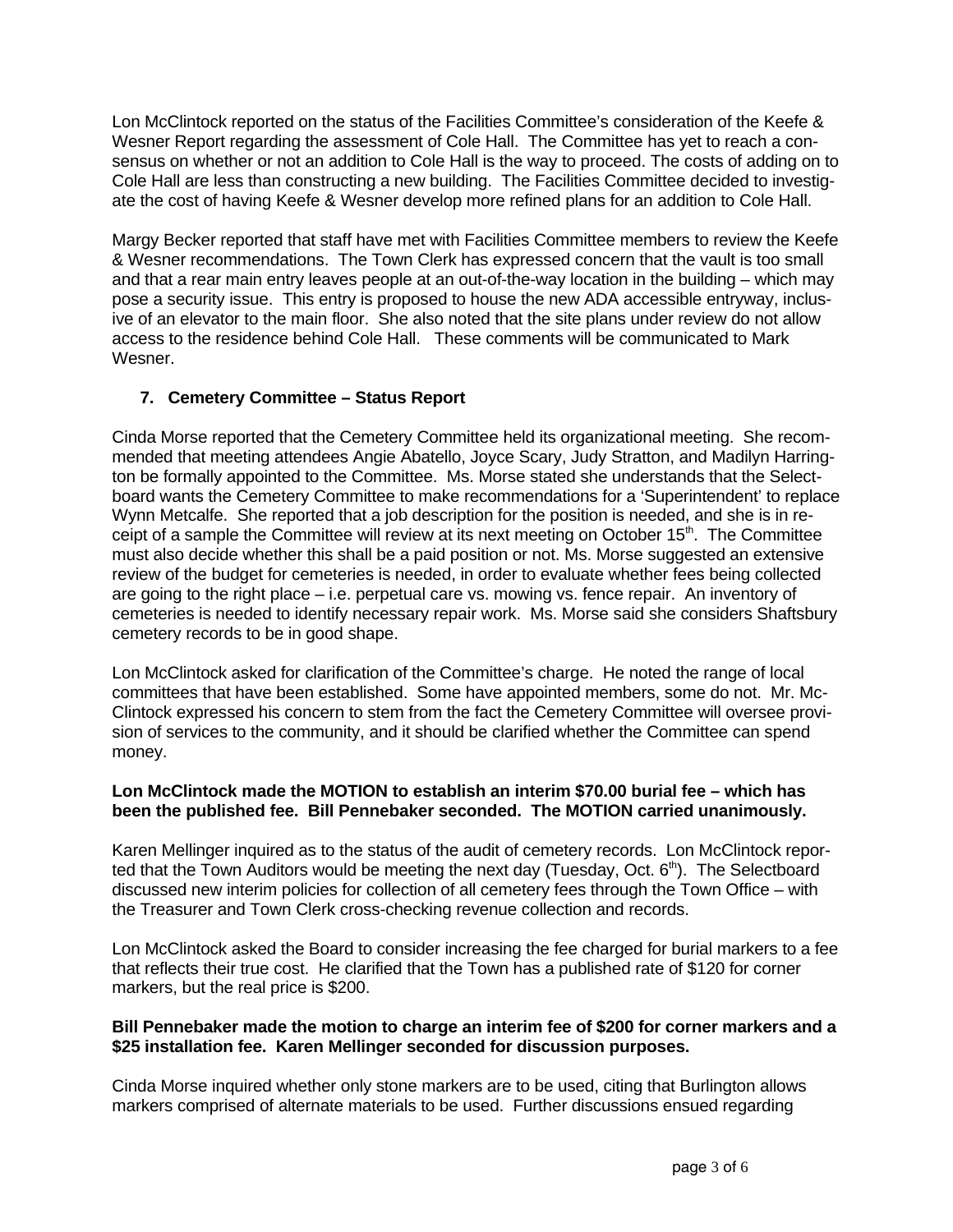Lon McClintock reported on the status of the Facilities Committee's consideration of the Keefe & Wesner Report regarding the assessment of Cole Hall. The Committee has yet to reach a consensus on whether or not an addition to Cole Hall is the way to proceed. The costs of adding on to Cole Hall are less than constructing a new building. The Facilities Committee decided to investigate the cost of having Keefe & Wesner develop more refined plans for an addition to Cole Hall.

Margy Becker reported that staff have met with Facilities Committee members to review the Keefe & Wesner recommendations. The Town Clerk has expressed concern that the vault is too small and that a rear main entry leaves people at an out-of-the-way location in the building – which may pose a security issue. This entry is proposed to house the new ADA accessible entryway, inclusive of an elevator to the main floor. She also noted that the site plans under review do not allow access to the residence behind Cole Hall. These comments will be communicated to Mark Wesner.

# **7. Cemetery Committee – Status Report**

Cinda Morse reported that the Cemetery Committee held its organizational meeting. She recommended that meeting attendees Angie Abatello, Joyce Scary, Judy Stratton, and Madilyn Harrington be formally appointed to the Committee. Ms. Morse stated she understands that the Selectboard wants the Cemetery Committee to make recommendations for a 'Superintendent' to replace Wynn Metcalfe. She reported that a job description for the position is needed, and she is in receipt of a sample the Committee will review at its next meeting on October 15<sup>th</sup>. The Committee must also decide whether this shall be a paid position or not. Ms. Morse suggested an extensive review of the budget for cemeteries is needed, in order to evaluate whether fees being collected are going to the right place – i.e. perpetual care vs. mowing vs. fence repair. An inventory of cemeteries is needed to identify necessary repair work. Ms. Morse said she considers Shaftsbury cemetery records to be in good shape.

Lon McClintock asked for clarification of the Committee's charge. He noted the range of local committees that have been established. Some have appointed members, some do not. Mr. Mc-Clintock expressed his concern to stem from the fact the Cemetery Committee will oversee provision of services to the community, and it should be clarified whether the Committee can spend money.

## **Lon McClintock made the MOTION to establish an interim \$70.00 burial fee – which has been the published fee. Bill Pennebaker seconded. The MOTION carried unanimously.**

Karen Mellinger inquired as to the status of the audit of cemetery records. Lon McClintock reported that the Town Auditors would be meeting the next day (Tuesday, Oct.  $6<sup>th</sup>$ ). The Selectboard discussed new interim policies for collection of all cemetery fees through the Town Office – with the Treasurer and Town Clerk cross-checking revenue collection and records.

Lon McClintock asked the Board to consider increasing the fee charged for burial markers to a fee that reflects their true cost. He clarified that the Town has a published rate of \$120 for corner markers, but the real price is \$200.

#### **Bill Pennebaker made the motion to charge an interim fee of \$200 for corner markers and a \$25 installation fee. Karen Mellinger seconded for discussion purposes.**

Cinda Morse inquired whether only stone markers are to be used, citing that Burlington allows markers comprised of alternate materials to be used. Further discussions ensued regarding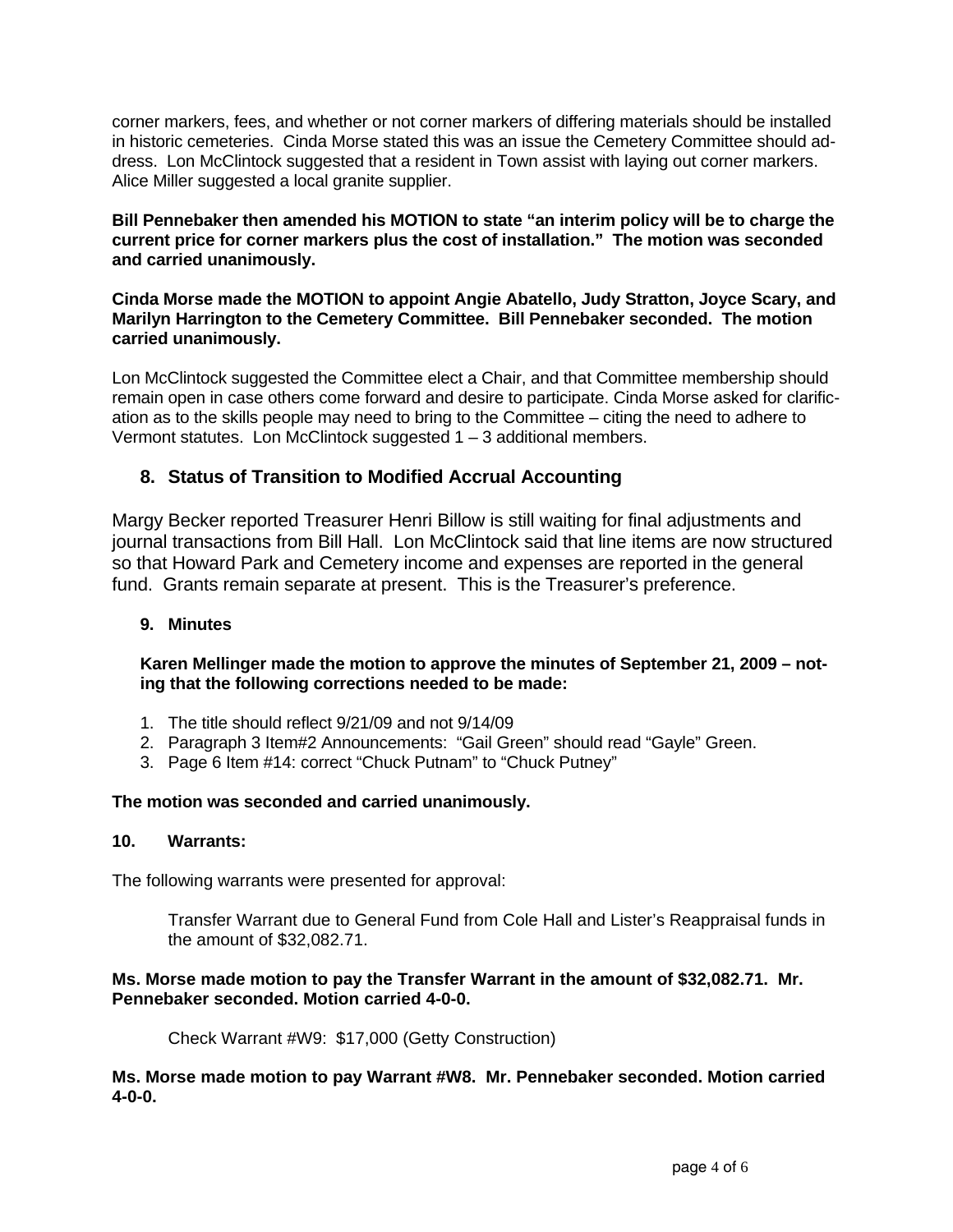corner markers, fees, and whether or not corner markers of differing materials should be installed in historic cemeteries. Cinda Morse stated this was an issue the Cemetery Committee should address. Lon McClintock suggested that a resident in Town assist with laying out corner markers. Alice Miller suggested a local granite supplier.

**Bill Pennebaker then amended his MOTION to state "an interim policy will be to charge the current price for corner markers plus the cost of installation." The motion was seconded and carried unanimously.** 

**Cinda Morse made the MOTION to appoint Angie Abatello, Judy Stratton, Joyce Scary, and Marilyn Harrington to the Cemetery Committee. Bill Pennebaker seconded. The motion carried unanimously.**

Lon McClintock suggested the Committee elect a Chair, and that Committee membership should remain open in case others come forward and desire to participate. Cinda Morse asked for clarification as to the skills people may need to bring to the Committee – citing the need to adhere to Vermont statutes. Lon McClintock suggested 1 – 3 additional members.

# **8. Status of Transition to Modified Accrual Accounting**

Margy Becker reported Treasurer Henri Billow is still waiting for final adjustments and journal transactions from Bill Hall. Lon McClintock said that line items are now structured so that Howard Park and Cemetery income and expenses are reported in the general fund. Grants remain separate at present. This is the Treasurer's preference.

#### **9. Minutes**

**Karen Mellinger made the motion to approve the minutes of September 21, 2009 – noting that the following corrections needed to be made:**

- 1. The title should reflect 9/21/09 and not 9/14/09
- 2. Paragraph 3 Item#2 Announcements: "Gail Green" should read "Gayle" Green.
- 3. Page 6 Item #14: correct "Chuck Putnam" to "Chuck Putney"

#### **The motion was seconded and carried unanimously.**

#### **10. Warrants:**

The following warrants were presented for approval:

Transfer Warrant due to General Fund from Cole Hall and Lister's Reappraisal funds in the amount of \$32,082.71.

## **Ms. Morse made motion to pay the Transfer Warrant in the amount of \$32,082.71. Mr. Pennebaker seconded. Motion carried 4-0-0.**

Check Warrant #W9: \$17,000 (Getty Construction)

**Ms. Morse made motion to pay Warrant #W8. Mr. Pennebaker seconded. Motion carried 4-0-0.**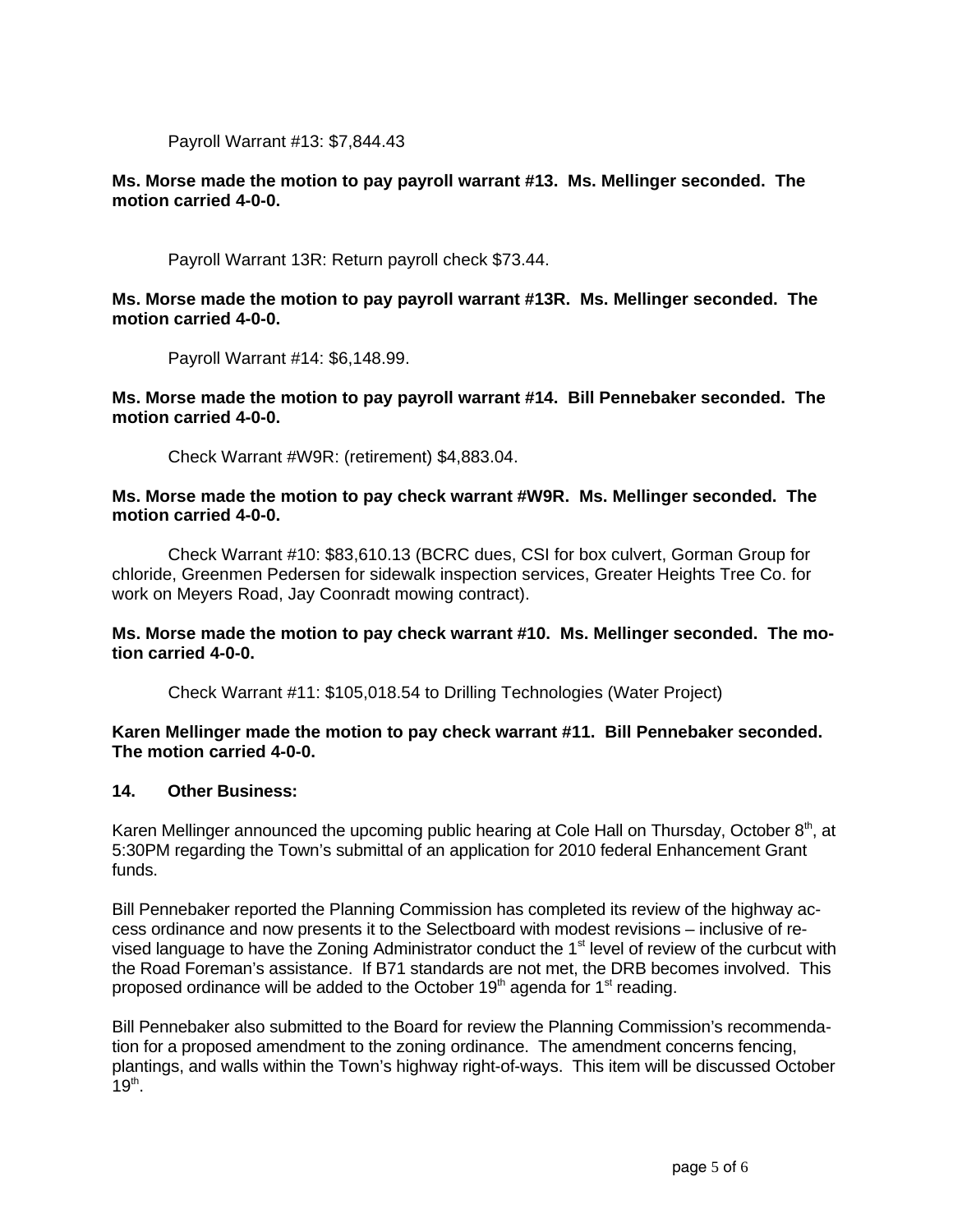Payroll Warrant #13: \$7,844.43

## **Ms. Morse made the motion to pay payroll warrant #13. Ms. Mellinger seconded. The motion carried 4-0-0.**

Payroll Warrant 13R: Return payroll check \$73.44.

## **Ms. Morse made the motion to pay payroll warrant #13R. Ms. Mellinger seconded. The motion carried 4-0-0.**

Payroll Warrant #14: \$6,148.99.

**Ms. Morse made the motion to pay payroll warrant #14. Bill Pennebaker seconded. The motion carried 4-0-0.**

Check Warrant #W9R: (retirement) \$4,883.04.

#### **Ms. Morse made the motion to pay check warrant #W9R. Ms. Mellinger seconded. The motion carried 4-0-0.**

Check Warrant #10: \$83,610.13 (BCRC dues, CSI for box culvert, Gorman Group for chloride, Greenmen Pedersen for sidewalk inspection services, Greater Heights Tree Co. for work on Meyers Road, Jay Coonradt mowing contract).

## **Ms. Morse made the motion to pay check warrant #10. Ms. Mellinger seconded. The motion carried 4-0-0.**

Check Warrant #11: \$105,018.54 to Drilling Technologies (Water Project)

#### **Karen Mellinger made the motion to pay check warrant #11. Bill Pennebaker seconded. The motion carried 4-0-0.**

#### **14. Other Business:**

Karen Mellinger announced the upcoming public hearing at Cole Hall on Thursday, October 8<sup>th</sup>, at 5:30PM regarding the Town's submittal of an application for 2010 federal Enhancement Grant funds.

Bill Pennebaker reported the Planning Commission has completed its review of the highway access ordinance and now presents it to the Selectboard with modest revisions – inclusive of revised language to have the Zoning Administrator conduct the  $1<sup>st</sup>$  level of review of the curbcut with the Road Foreman's assistance. If B71 standards are not met, the DRB becomes involved. This proposed ordinance will be added to the October  $19<sup>th</sup>$  agenda for  $1<sup>st</sup>$  reading.

Bill Pennebaker also submitted to the Board for review the Planning Commission's recommendation for a proposed amendment to the zoning ordinance. The amendment concerns fencing, plantings, and walls within the Town's highway right-of-ways. This item will be discussed October  $19^{\text{th}}$ .